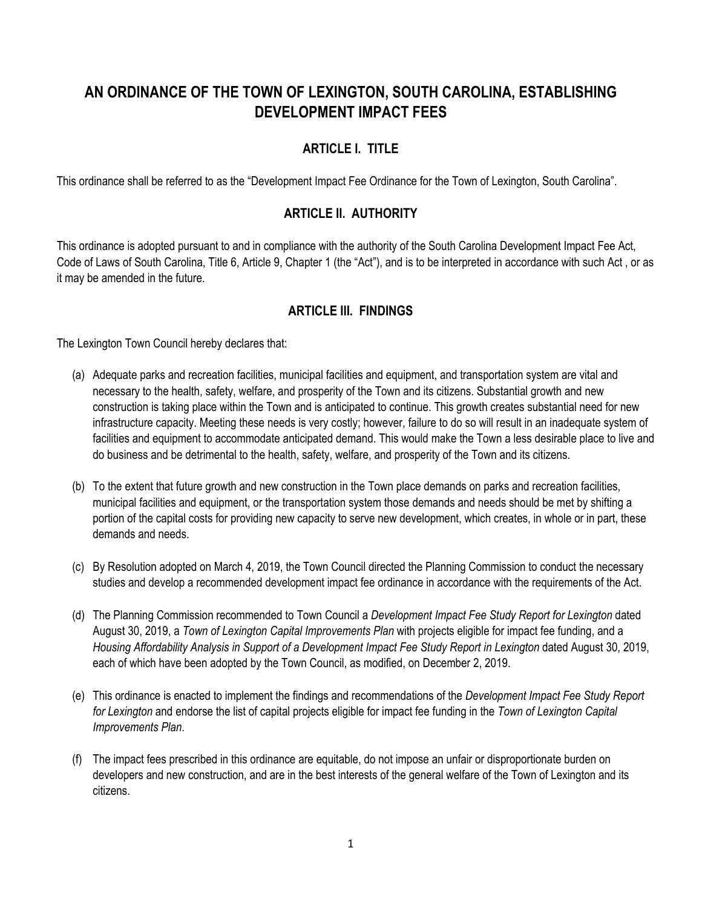# **AN ORDINANCE OF THE TOWN OF LEXINGTON, SOUTH CAROLINA, ESTABLISHING DEVELOPMENT IMPACT FEES**

# **ARTICLE I. TITLE**

This ordinance shall be referred to as the "Development Impact Fee Ordinance for the Town of Lexington, South Carolina".

# **ARTICLE II. AUTHORITY**

This ordinance is adopted pursuant to and in compliance with the authority of the South Carolina Development Impact Fee Act, Code of Laws of South Carolina, Title 6, Article 9, Chapter 1 (the "Act"), and is to be interpreted in accordance with such Act , or as it may be amended in the future.

# **ARTICLE III. FINDINGS**

The Lexington Town Council hereby declares that:

- (a) Adequate parks and recreation facilities, municipal facilities and equipment, and transportation system are vital and necessary to the health, safety, welfare, and prosperity of the Town and its citizens. Substantial growth and new construction is taking place within the Town and is anticipated to continue. This growth creates substantial need for new infrastructure capacity. Meeting these needs is very costly; however, failure to do so will result in an inadequate system of facilities and equipment to accommodate anticipated demand. This would make the Town a less desirable place to live and do business and be detrimental to the health, safety, welfare, and prosperity of the Town and its citizens.
- (b) To the extent that future growth and new construction in the Town place demands on parks and recreation facilities, municipal facilities and equipment, or the transportation system those demands and needs should be met by shifting a portion of the capital costs for providing new capacity to serve new development, which creates, in whole or in part, these demands and needs.
- (c) By Resolution adopted on March 4, 2019, the Town Council directed the Planning Commission to conduct the necessary studies and develop a recommended development impact fee ordinance in accordance with the requirements of the Act.
- (d) The Planning Commission recommended to Town Council a *Development Impact Fee Study Report for Lexington* dated August 30, 2019, a *Town of Lexington Capital Improvements Plan* with projects eligible for impact fee funding, and a *Housing Affordability Analysis in Support of a Development Impact Fee Study Report in Lexington* dated August 30, 2019, each of which have been adopted by the Town Council, as modified, on December 2, 2019.
- (e) This ordinance is enacted to implement the findings and recommendations of the *Development Impact Fee Study Report for Lexington* and endorse the list of capital projects eligible for impact fee funding in the *Town of Lexington Capital Improvements Plan*.
- (f) The impact fees prescribed in this ordinance are equitable, do not impose an unfair or disproportionate burden on developers and new construction, and are in the best interests of the general welfare of the Town of Lexington and its citizens.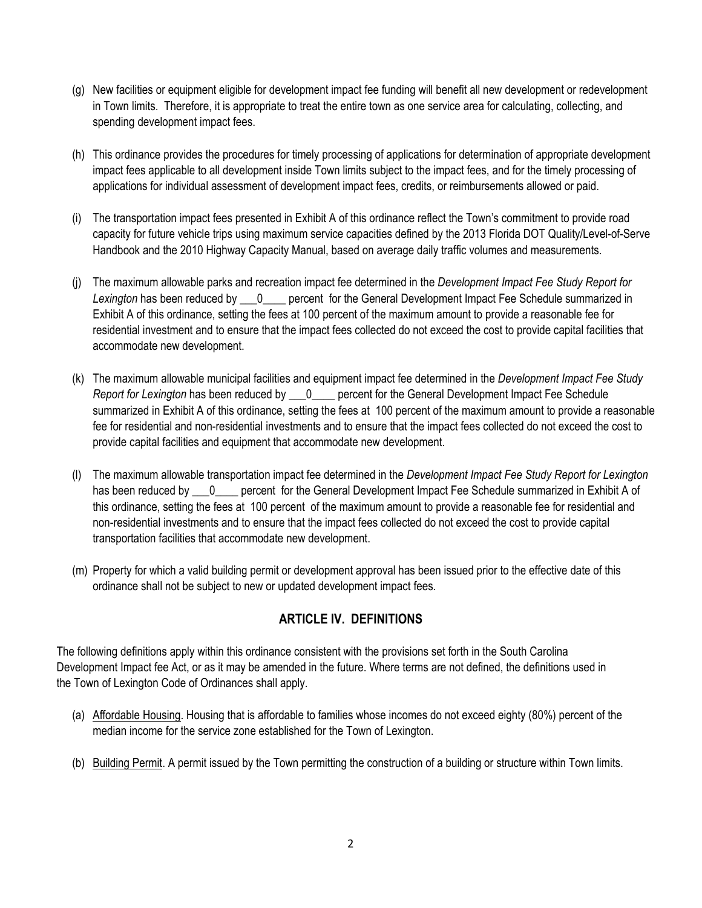- (g) New facilities or equipment eligible for development impact fee funding will benefit all new development or redevelopment in Town limits. Therefore, it is appropriate to treat the entire town as one service area for calculating, collecting, and spending development impact fees.
- (h) This ordinance provides the procedures for timely processing of applications for determination of appropriate development impact fees applicable to all development inside Town limits subject to the impact fees, and for the timely processing of applications for individual assessment of development impact fees, credits, or reimbursements allowed or paid.
- (i) The transportation impact fees presented in Exhibit A of this ordinance reflect the Town's commitment to provide road capacity for future vehicle trips using maximum service capacities defined by the 2013 Florida DOT Quality/Level-of-Serve Handbook and the 2010 Highway Capacity Manual, based on average daily traffic volumes and measurements.
- (j) The maximum allowable parks and recreation impact fee determined in the *Development Impact Fee Study Report for*  Lexington has been reduced by 0 percent for the General Development Impact Fee Schedule summarized in Exhibit A of this ordinance, setting the fees at 100 percent of the maximum amount to provide a reasonable fee for residential investment and to ensure that the impact fees collected do not exceed the cost to provide capital facilities that accommodate new development.
- (k) The maximum allowable municipal facilities and equipment impact fee determined in the *Development Impact Fee Study Report for Lexington* has been reduced by \_\_\_0\_\_\_\_ percent for the General Development Impact Fee Schedule summarized in Exhibit A of this ordinance, setting the fees at 100 percent of the maximum amount to provide a reasonable fee for residential and non-residential investments and to ensure that the impact fees collected do not exceed the cost to provide capital facilities and equipment that accommodate new development.
- (l) The maximum allowable transportation impact fee determined in the *Development Impact Fee Study Report for Lexington* has been reduced by \_\_\_0\_\_\_\_ percent for the General Development Impact Fee Schedule summarized in Exhibit A of this ordinance, setting the fees at 100 percent of the maximum amount to provide a reasonable fee for residential and non-residential investments and to ensure that the impact fees collected do not exceed the cost to provide capital transportation facilities that accommodate new development.
- (m) Property for which a valid building permit or development approval has been issued prior to the effective date of this ordinance shall not be subject to new or updated development impact fees.

# **ARTICLE IV. DEFINITIONS**

The following definitions apply within this ordinance consistent with the provisions set forth in the South Carolina Development Impact fee Act, or as it may be amended in the future. Where terms are not defined, the definitions used in the Town of Lexington Code of Ordinances shall apply.

- (a) Affordable Housing. Housing that is affordable to families whose incomes do not exceed eighty (80%) percent of the median income for the service zone established for the Town of Lexington.
- (b) Building Permit. A permit issued by the Town permitting the construction of a building or structure within Town limits.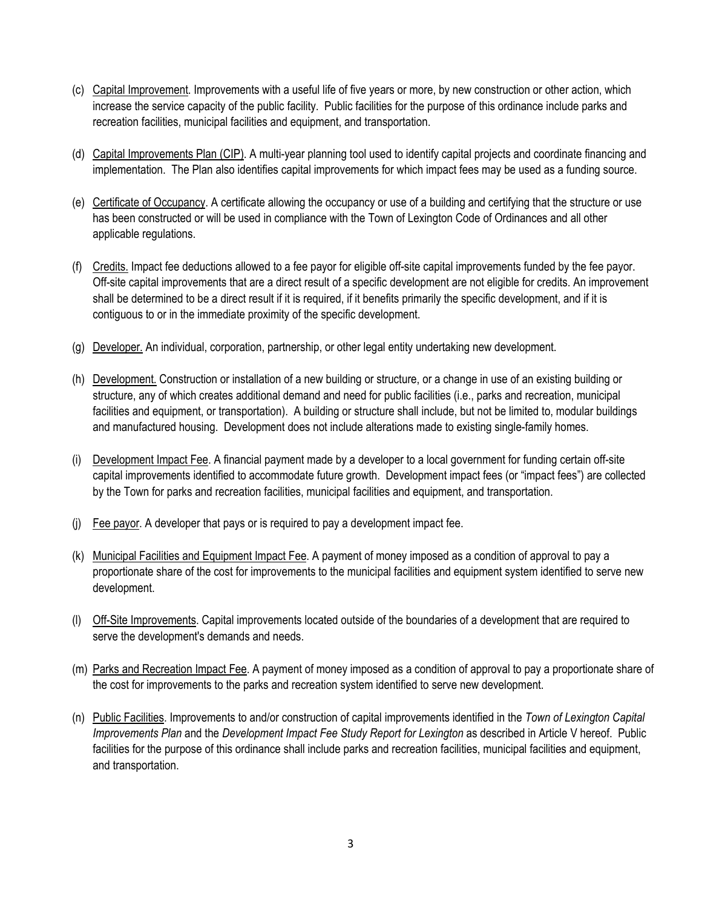- (c) Capital Improvement. Improvements with a useful life of five years or more, by new construction or other action, which increase the service capacity of the public facility. Public facilities for the purpose of this ordinance include parks and recreation facilities, municipal facilities and equipment, and transportation.
- (d) Capital Improvements Plan (CIP). A multi-year planning tool used to identify capital projects and coordinate financing and implementation. The Plan also identifies capital improvements for which impact fees may be used as a funding source.
- (e) Certificate of Occupancy. A certificate allowing the occupancy or use of a building and certifying that the structure or use has been constructed or will be used in compliance with the Town of Lexington Code of Ordinances and all other applicable regulations.
- (f) Credits. Impact fee deductions allowed to a fee payor for eligible off-site capital improvements funded by the fee payor. Off-site capital improvements that are a direct result of a specific development are not eligible for credits. An improvement shall be determined to be a direct result if it is required, if it benefits primarily the specific development, and if it is contiguous to or in the immediate proximity of the specific development.
- (g) Developer. An individual, corporation, partnership, or other legal entity undertaking new development.
- (h) Development. Construction or installation of a new building or structure, or a change in use of an existing building or structure, any of which creates additional demand and need for public facilities (i.e., parks and recreation, municipal facilities and equipment, or transportation). A building or structure shall include, but not be limited to, modular buildings and manufactured housing. Development does not include alterations made to existing single-family homes.
- (i) Development Impact Fee. A financial payment made by a developer to a local government for funding certain off-site capital improvements identified to accommodate future growth. Development impact fees (or "impact fees") are collected by the Town for parks and recreation facilities, municipal facilities and equipment, and transportation.
- (j) Fee payor. A developer that pays or is required to pay a development impact fee.
- (k) Municipal Facilities and Equipment Impact Fee. A payment of money imposed as a condition of approval to pay a proportionate share of the cost for improvements to the municipal facilities and equipment system identified to serve new development.
- (l) Off-Site Improvements. Capital improvements located outside of the boundaries of a development that are required to serve the development's demands and needs.
- (m) Parks and Recreation Impact Fee. A payment of money imposed as a condition of approval to pay a proportionate share of the cost for improvements to the parks and recreation system identified to serve new development.
- (n) Public Facilities. Improvements to and/or construction of capital improvements identified in the *Town of Lexington Capital Improvements Plan* and the *Development Impact Fee Study Report for Lexington* as described in Article V hereof. Public facilities for the purpose of this ordinance shall include parks and recreation facilities, municipal facilities and equipment, and transportation.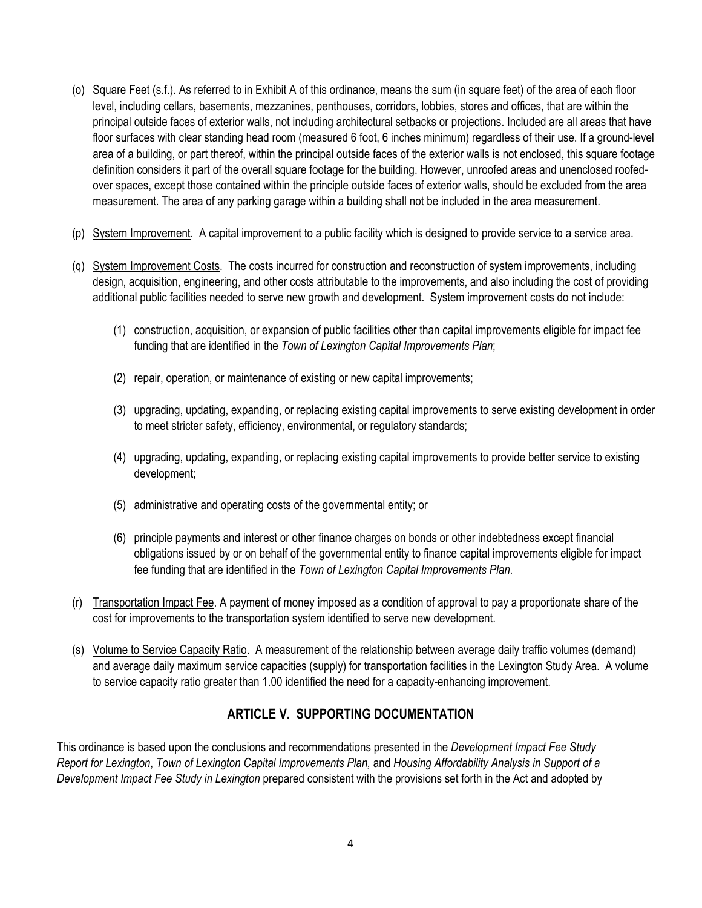- (o) Square Feet (s.f.). As referred to in Exhibit A of this ordinance, means the sum (in square feet) of the area of each floor level, including cellars, basements, mezzanines, penthouses, corridors, lobbies, stores and offices, that are within the principal outside faces of exterior walls, not including architectural setbacks or projections. Included are all areas that have floor surfaces with clear standing head room (measured 6 foot, 6 inches minimum) regardless of their use. If a ground-level area of a building, or part thereof, within the principal outside faces of the exterior walls is not enclosed, this square footage definition considers it part of the overall square footage for the building. However, unroofed areas and unenclosed roofedover spaces, except those contained within the principle outside faces of exterior walls, should be excluded from the area measurement. The area of any parking garage within a building shall not be included in the area measurement.
- (p) System Improvement. A capital improvement to a public facility which is designed to provide service to a service area.
- (q) System Improvement Costs. The costs incurred for construction and reconstruction of system improvements, including design, acquisition, engineering, and other costs attributable to the improvements, and also including the cost of providing additional public facilities needed to serve new growth and development. System improvement costs do not include:
	- (1) construction, acquisition, or expansion of public facilities other than capital improvements eligible for impact fee funding that are identified in the *Town of Lexington Capital Improvements Plan*;
	- (2) repair, operation, or maintenance of existing or new capital improvements;
	- (3) upgrading, updating, expanding, or replacing existing capital improvements to serve existing development in order to meet stricter safety, efficiency, environmental, or regulatory standards;
	- (4) upgrading, updating, expanding, or replacing existing capital improvements to provide better service to existing development;
	- (5) administrative and operating costs of the governmental entity; or
	- (6) principle payments and interest or other finance charges on bonds or other indebtedness except financial obligations issued by or on behalf of the governmental entity to finance capital improvements eligible for impact fee funding that are identified in the *Town of Lexington Capital Improvements Plan*.
- (r) Transportation Impact Fee. A payment of money imposed as a condition of approval to pay a proportionate share of the cost for improvements to the transportation system identified to serve new development.
- (s) Volume to Service Capacity Ratio. A measurement of the relationship between average daily traffic volumes (demand) and average daily maximum service capacities (supply) for transportation facilities in the Lexington Study Area. A volume to service capacity ratio greater than 1.00 identified the need for a capacity-enhancing improvement.

# **ARTICLE V. SUPPORTING DOCUMENTATION**

This ordinance is based upon the conclusions and recommendations presented in the *Development Impact Fee Study Report for Lexington*, *Town of Lexington Capital Improvements Plan,* and *Housing Affordability Analysis in Support of a Development Impact Fee Study in Lexington* prepared consistent with the provisions set forth in the Act and adopted by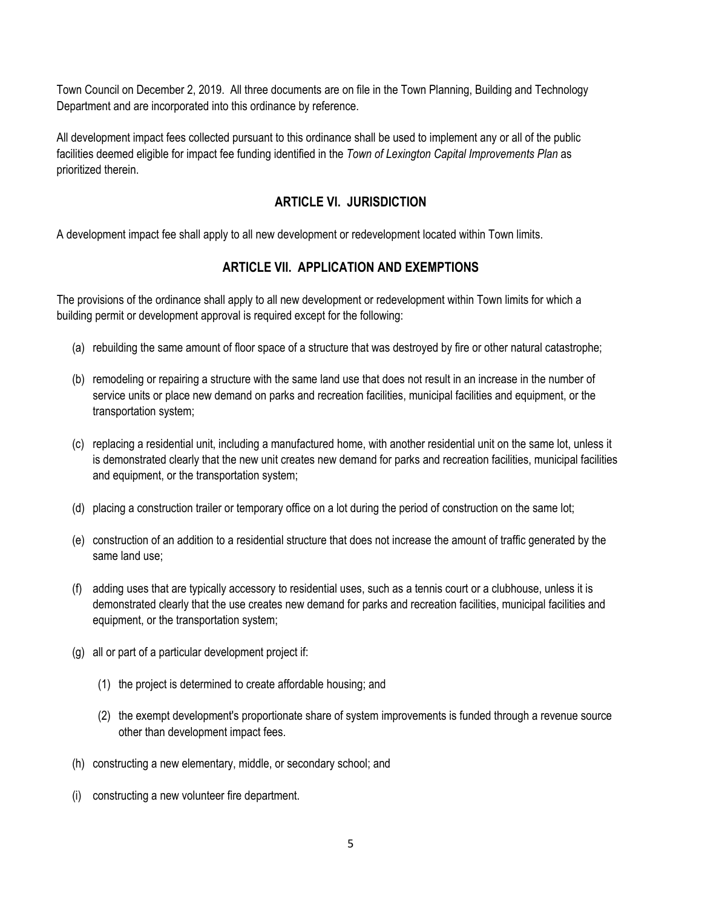Town Council on December 2, 2019. All three documents are on file in the Town Planning, Building and Technology Department and are incorporated into this ordinance by reference.

All development impact fees collected pursuant to this ordinance shall be used to implement any or all of the public facilities deemed eligible for impact fee funding identified in the *Town of Lexington Capital Improvements Plan* as prioritized therein.

# **ARTICLE VI. JURISDICTION**

A development impact fee shall apply to all new development or redevelopment located within Town limits.

# **ARTICLE VII. APPLICATION AND EXEMPTIONS**

The provisions of the ordinance shall apply to all new development or redevelopment within Town limits for which a building permit or development approval is required except for the following:

- (a) rebuilding the same amount of floor space of a structure that was destroyed by fire or other natural catastrophe;
- (b) remodeling or repairing a structure with the same land use that does not result in an increase in the number of service units or place new demand on parks and recreation facilities, municipal facilities and equipment, or the transportation system;
- (c) replacing a residential unit, including a manufactured home, with another residential unit on the same lot, unless it is demonstrated clearly that the new unit creates new demand for parks and recreation facilities, municipal facilities and equipment, or the transportation system;
- (d) placing a construction trailer or temporary office on a lot during the period of construction on the same lot;
- (e) construction of an addition to a residential structure that does not increase the amount of traffic generated by the same land use;
- (f) adding uses that are typically accessory to residential uses, such as a tennis court or a clubhouse, unless it is demonstrated clearly that the use creates new demand for parks and recreation facilities, municipal facilities and equipment, or the transportation system;
- (g) all or part of a particular development project if:
	- (1) the project is determined to create affordable housing; and
	- (2) the exempt development's proportionate share of system improvements is funded through a revenue source other than development impact fees.
- (h) constructing a new elementary, middle, or secondary school; and
- (i) constructing a new volunteer fire department.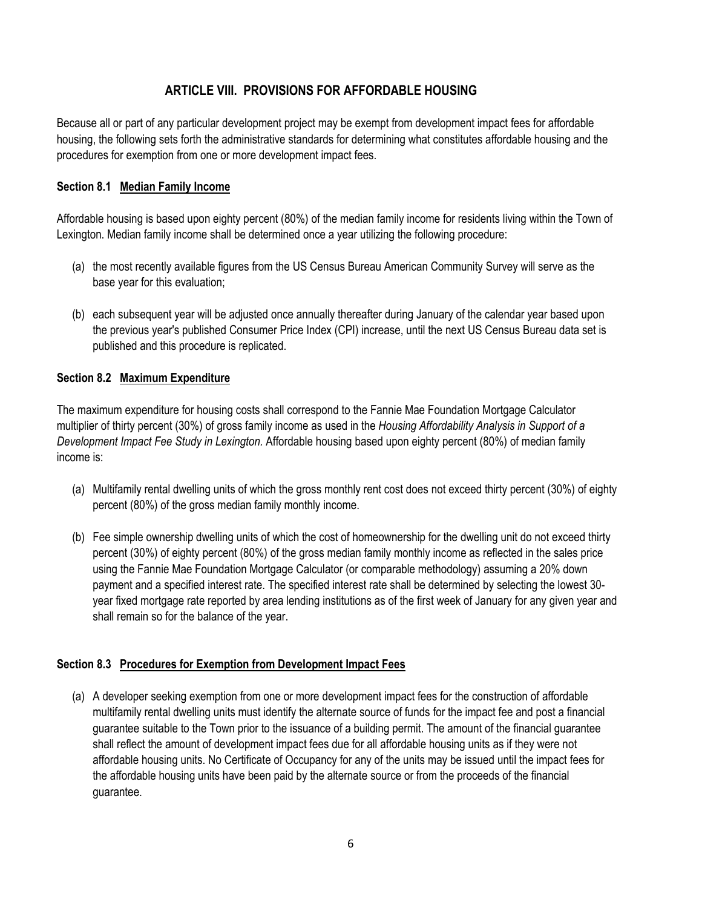# **ARTICLE VIII. PROVISIONS FOR AFFORDABLE HOUSING**

Because all or part of any particular development project may be exempt from development impact fees for affordable housing, the following sets forth the administrative standards for determining what constitutes affordable housing and the procedures for exemption from one or more development impact fees.

### **Section 8.1 Median Family Income**

Affordable housing is based upon eighty percent (80%) of the median family income for residents living within the Town of Lexington. Median family income shall be determined once a year utilizing the following procedure:

- (a) the most recently available figures from the US Census Bureau American Community Survey will serve as the base year for this evaluation;
- (b) each subsequent year will be adjusted once annually thereafter during January of the calendar year based upon the previous year's published Consumer Price Index (CPI) increase, until the next US Census Bureau data set is published and this procedure is replicated.

### **Section 8.2 Maximum Expenditure**

The maximum expenditure for housing costs shall correspond to the Fannie Mae Foundation Mortgage Calculator multiplier of thirty percent (30%) of gross family income as used in the *Housing Affordability Analysis in Support of a Development Impact Fee Study in Lexington.* Affordable housing based upon eighty percent (80%) of median family income is:

- (a) Multifamily rental dwelling units of which the gross monthly rent cost does not exceed thirty percent (30%) of eighty percent (80%) of the gross median family monthly income.
- (b) Fee simple ownership dwelling units of which the cost of homeownership for the dwelling unit do not exceed thirty percent (30%) of eighty percent (80%) of the gross median family monthly income as reflected in the sales price using the Fannie Mae Foundation Mortgage Calculator (or comparable methodology) assuming a 20% down payment and a specified interest rate. The specified interest rate shall be determined by selecting the lowest 30 year fixed mortgage rate reported by area lending institutions as of the first week of January for any given year and shall remain so for the balance of the year.

### **Section 8.3 Procedures for Exemption from Development Impact Fees**

(a) A developer seeking exemption from one or more development impact fees for the construction of affordable multifamily rental dwelling units must identify the alternate source of funds for the impact fee and post a financial guarantee suitable to the Town prior to the issuance of a building permit. The amount of the financial guarantee shall reflect the amount of development impact fees due for all affordable housing units as if they were not affordable housing units. No Certificate of Occupancy for any of the units may be issued until the impact fees for the affordable housing units have been paid by the alternate source or from the proceeds of the financial guarantee.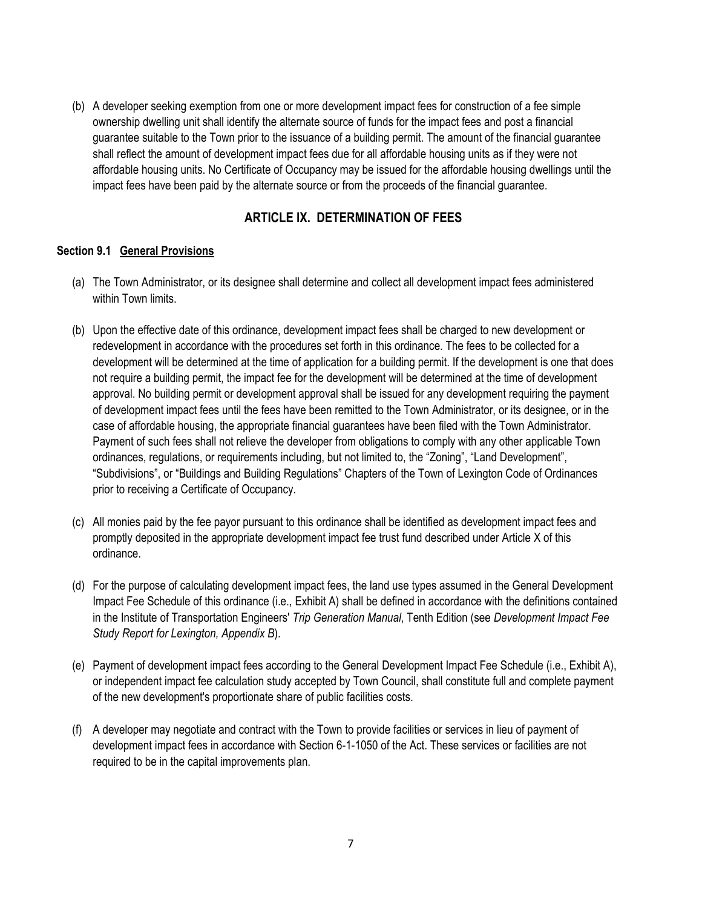(b) A developer seeking exemption from one or more development impact fees for construction of a fee simple ownership dwelling unit shall identify the alternate source of funds for the impact fees and post a financial guarantee suitable to the Town prior to the issuance of a building permit. The amount of the financial guarantee shall reflect the amount of development impact fees due for all affordable housing units as if they were not affordable housing units. No Certificate of Occupancy may be issued for the affordable housing dwellings until the impact fees have been paid by the alternate source or from the proceeds of the financial guarantee.

# **ARTICLE IX. DETERMINATION OF FEES**

### **Section 9.1 General Provisions**

- (a) The Town Administrator, or its designee shall determine and collect all development impact fees administered within Town limits.
- (b) Upon the effective date of this ordinance, development impact fees shall be charged to new development or redevelopment in accordance with the procedures set forth in this ordinance. The fees to be collected for a development will be determined at the time of application for a building permit. If the development is one that does not require a building permit, the impact fee for the development will be determined at the time of development approval. No building permit or development approval shall be issued for any development requiring the payment of development impact fees until the fees have been remitted to the Town Administrator, or its designee, or in the case of affordable housing, the appropriate financial guarantees have been filed with the Town Administrator. Payment of such fees shall not relieve the developer from obligations to comply with any other applicable Town ordinances, regulations, or requirements including, but not limited to, the "Zoning", "Land Development", "Subdivisions", or "Buildings and Building Regulations" Chapters of the Town of Lexington Code of Ordinances prior to receiving a Certificate of Occupancy.
- (c) All monies paid by the fee payor pursuant to this ordinance shall be identified as development impact fees and promptly deposited in the appropriate development impact fee trust fund described under Article X of this ordinance.
- (d) For the purpose of calculating development impact fees, the land use types assumed in the General Development Impact Fee Schedule of this ordinance (i.e., Exhibit A) shall be defined in accordance with the definitions contained in the Institute of Transportation Engineers' *Trip Generation Manual*, Tenth Edition (see *Development Impact Fee Study Report for Lexington, Appendix B*).
- (e) Payment of development impact fees according to the General Development Impact Fee Schedule (i.e., Exhibit A), or independent impact fee calculation study accepted by Town Council, shall constitute full and complete payment of the new development's proportionate share of public facilities costs.
- (f) A developer may negotiate and contract with the Town to provide facilities or services in lieu of payment of development impact fees in accordance with Section 6-1-1050 of the Act. These services or facilities are not required to be in the capital improvements plan.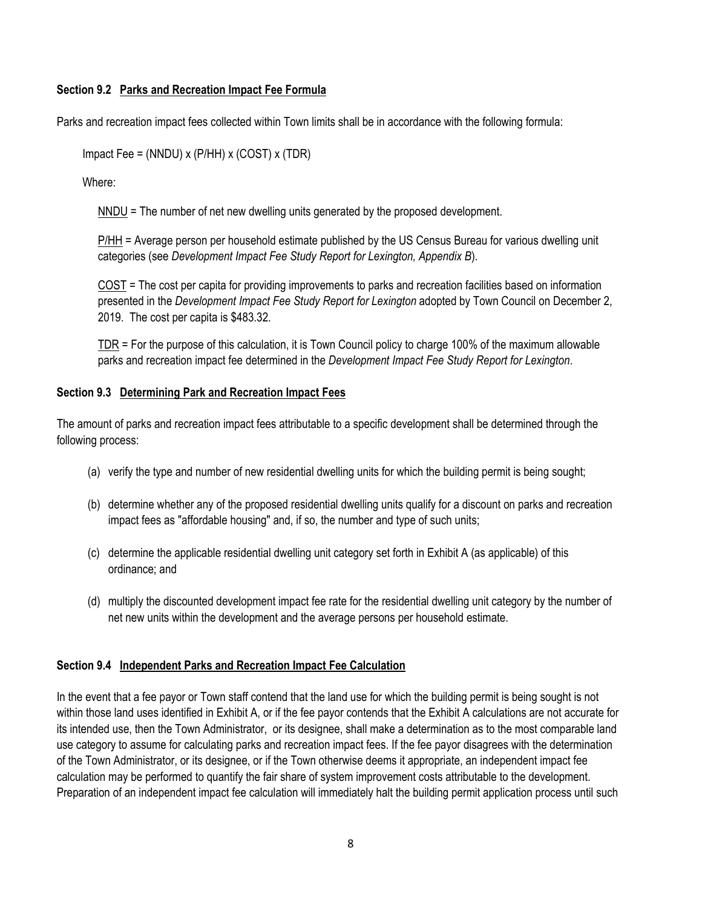### **Section 9.2 Parks and Recreation Impact Fee Formula**

Parks and recreation impact fees collected within Town limits shall be in accordance with the following formula:

Impact Fee = (NNDU) x (P/HH) x (COST) x (TDR)

Where:

NNDU = The number of net new dwelling units generated by the proposed development.

P/HH = Average person per household estimate published by the US Census Bureau for various dwelling unit categories (see *Development Impact Fee Study Report for Lexington, Appendix B*).

COST = The cost per capita for providing improvements to parks and recreation facilities based on information presented in the *Development Impact Fee Study Report for Lexington* adopted by Town Council on December 2, 2019. The cost per capita is \$483.32.

TDR = For the purpose of this calculation, it is Town Council policy to charge 100% of the maximum allowable parks and recreation impact fee determined in the *Development Impact Fee Study Report for Lexington*.

### **Section 9.3 Determining Park and Recreation Impact Fees**

The amount of parks and recreation impact fees attributable to a specific development shall be determined through the following process:

- (a) verify the type and number of new residential dwelling units for which the building permit is being sought;
- (b) determine whether any of the proposed residential dwelling units qualify for a discount on parks and recreation impact fees as "affordable housing" and, if so, the number and type of such units;
- (c) determine the applicable residential dwelling unit category set forth in Exhibit A (as applicable) of this ordinance; and
- (d) multiply the discounted development impact fee rate for the residential dwelling unit category by the number of net new units within the development and the average persons per household estimate.

## **Section 9.4 Independent Parks and Recreation Impact Fee Calculation**

In the event that a fee payor or Town staff contend that the land use for which the building permit is being sought is not within those land uses identified in Exhibit A, or if the fee payor contends that the Exhibit A calculations are not accurate for its intended use, then the Town Administrator, or its designee, shall make a determination as to the most comparable land use category to assume for calculating parks and recreation impact fees. If the fee payor disagrees with the determination of the Town Administrator, or its designee, or if the Town otherwise deems it appropriate, an independent impact fee calculation may be performed to quantify the fair share of system improvement costs attributable to the development. Preparation of an independent impact fee calculation will immediately halt the building permit application process until such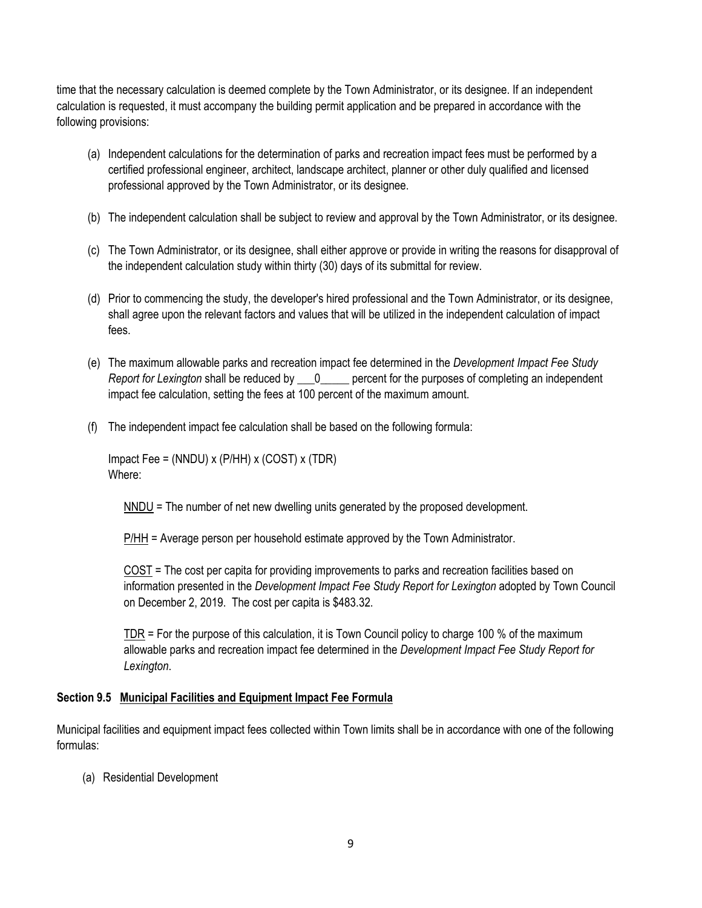time that the necessary calculation is deemed complete by the Town Administrator, or its designee. If an independent calculation is requested, it must accompany the building permit application and be prepared in accordance with the following provisions:

- (a) Independent calculations for the determination of parks and recreation impact fees must be performed by a certified professional engineer, architect, landscape architect, planner or other duly qualified and licensed professional approved by the Town Administrator, or its designee.
- (b) The independent calculation shall be subject to review and approval by the Town Administrator, or its designee.
- (c) The Town Administrator, or its designee, shall either approve or provide in writing the reasons for disapproval of the independent calculation study within thirty (30) days of its submittal for review.
- (d) Prior to commencing the study, the developer's hired professional and the Town Administrator, or its designee, shall agree upon the relevant factors and values that will be utilized in the independent calculation of impact fees.
- (e) The maximum allowable parks and recreation impact fee determined in the *Development Impact Fee Study Report for Lexington* shall be reduced by \_\_\_0\_\_\_\_\_ percent for the purposes of completing an independent impact fee calculation, setting the fees at 100 percent of the maximum amount.
- (f) The independent impact fee calculation shall be based on the following formula:

Impact Fee = (NNDU) x (P/HH) x (COST) x (TDR) Where:

NNDU = The number of net new dwelling units generated by the proposed development.

P/HH = Average person per household estimate approved by the Town Administrator.

COST = The cost per capita for providing improvements to parks and recreation facilities based on information presented in the *Development Impact Fee Study Report for Lexington* adopted by Town Council on December 2, 2019. The cost per capita is \$483.32.

TDR = For the purpose of this calculation, it is Town Council policy to charge 100 % of the maximum allowable parks and recreation impact fee determined in the *Development Impact Fee Study Report for Lexington*.

### **Section 9.5 Municipal Facilities and Equipment Impact Fee Formula**

Municipal facilities and equipment impact fees collected within Town limits shall be in accordance with one of the following formulas:

(a) Residential Development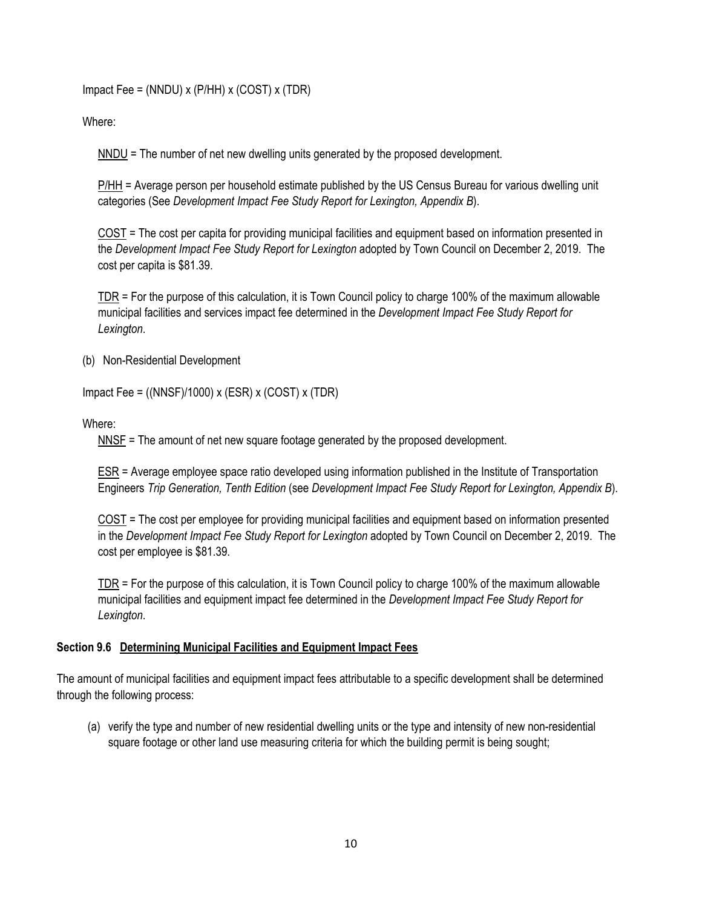Impact Fee = (NNDU) x (P/HH) x (COST) x (TDR)

Where:

NNDU = The number of net new dwelling units generated by the proposed development.

P/HH = Average person per household estimate published by the US Census Bureau for various dwelling unit categories (See *Development Impact Fee Study Report for Lexington, Appendix B*).

COST = The cost per capita for providing municipal facilities and equipment based on information presented in the *Development Impact Fee Study Report for Lexington* adopted by Town Council on December 2, 2019. The cost per capita is \$81.39.

TDR = For the purpose of this calculation, it is Town Council policy to charge 100% of the maximum allowable municipal facilities and services impact fee determined in the *Development Impact Fee Study Report for Lexington*.

(b) Non-Residential Development

Impact Fee =  $((NNSF)/1000)$  x  $(ESR)$  x  $(COST)$  x  $(TDR)$ 

Where:

NNSF = The amount of net new square footage generated by the proposed development.

ESR = Average employee space ratio developed using information published in the Institute of Transportation Engineers *Trip Generation, Tenth Edition* (see *Development Impact Fee Study Report for Lexington, Appendix B*).

COST = The cost per employee for providing municipal facilities and equipment based on information presented in the *Development Impact Fee Study Report for Lexington* adopted by Town Council on December 2, 2019. The cost per employee is \$81.39.

TDR = For the purpose of this calculation, it is Town Council policy to charge 100% of the maximum allowable municipal facilities and equipment impact fee determined in the *Development Impact Fee Study Report for Lexington*.

#### **Section 9.6 Determining Municipal Facilities and Equipment Impact Fees**

The amount of municipal facilities and equipment impact fees attributable to a specific development shall be determined through the following process:

(a) verify the type and number of new residential dwelling units or the type and intensity of new non-residential square footage or other land use measuring criteria for which the building permit is being sought;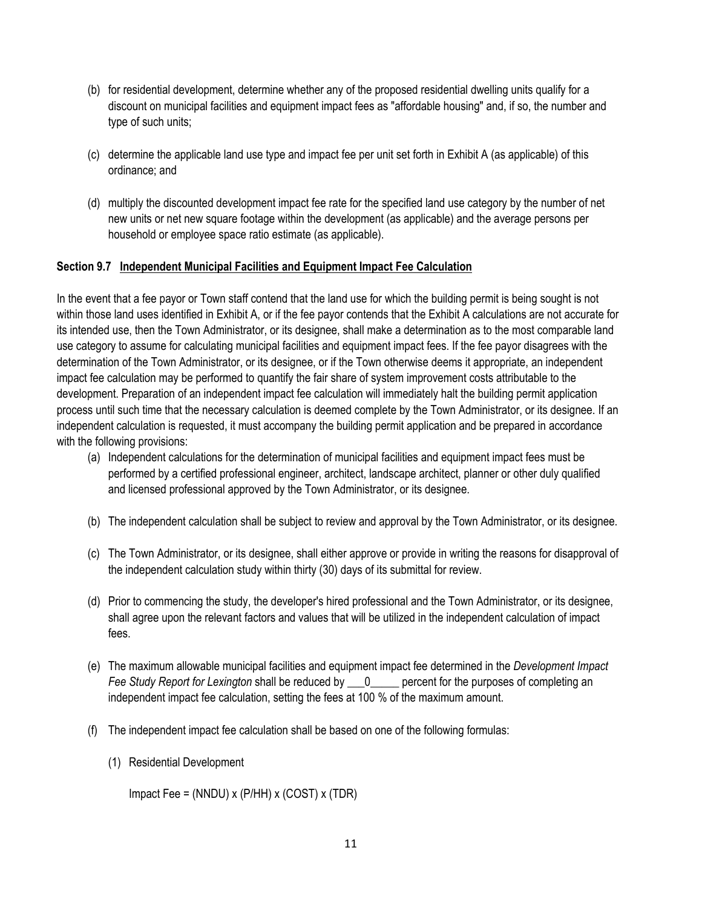- (b) for residential development, determine whether any of the proposed residential dwelling units qualify for a discount on municipal facilities and equipment impact fees as "affordable housing" and, if so, the number and type of such units;
- (c) determine the applicable land use type and impact fee per unit set forth in Exhibit A (as applicable) of this ordinance; and
- (d) multiply the discounted development impact fee rate for the specified land use category by the number of net new units or net new square footage within the development (as applicable) and the average persons per household or employee space ratio estimate (as applicable).

### **Section 9.7 Independent Municipal Facilities and Equipment Impact Fee Calculation**

In the event that a fee payor or Town staff contend that the land use for which the building permit is being sought is not within those land uses identified in Exhibit A, or if the fee payor contends that the Exhibit A calculations are not accurate for its intended use, then the Town Administrator, or its designee, shall make a determination as to the most comparable land use category to assume for calculating municipal facilities and equipment impact fees. If the fee payor disagrees with the determination of the Town Administrator, or its designee, or if the Town otherwise deems it appropriate, an independent impact fee calculation may be performed to quantify the fair share of system improvement costs attributable to the development. Preparation of an independent impact fee calculation will immediately halt the building permit application process until such time that the necessary calculation is deemed complete by the Town Administrator, or its designee. If an independent calculation is requested, it must accompany the building permit application and be prepared in accordance with the following provisions:

- (a) Independent calculations for the determination of municipal facilities and equipment impact fees must be performed by a certified professional engineer, architect, landscape architect, planner or other duly qualified and licensed professional approved by the Town Administrator, or its designee.
- (b) The independent calculation shall be subject to review and approval by the Town Administrator, or its designee.
- (c) The Town Administrator, or its designee, shall either approve or provide in writing the reasons for disapproval of the independent calculation study within thirty (30) days of its submittal for review.
- (d) Prior to commencing the study, the developer's hired professional and the Town Administrator, or its designee, shall agree upon the relevant factors and values that will be utilized in the independent calculation of impact fees.
- (e) The maximum allowable municipal facilities and equipment impact fee determined in the *Development Impact Fee Study Report for Lexington* shall be reduced by  $\qquad 0$  percent for the purposes of completing an independent impact fee calculation, setting the fees at 100 % of the maximum amount.
- (f) The independent impact fee calculation shall be based on one of the following formulas:
	- (1) Residential Development

Impact Fee = (NNDU) x (P/HH) x (COST) x (TDR)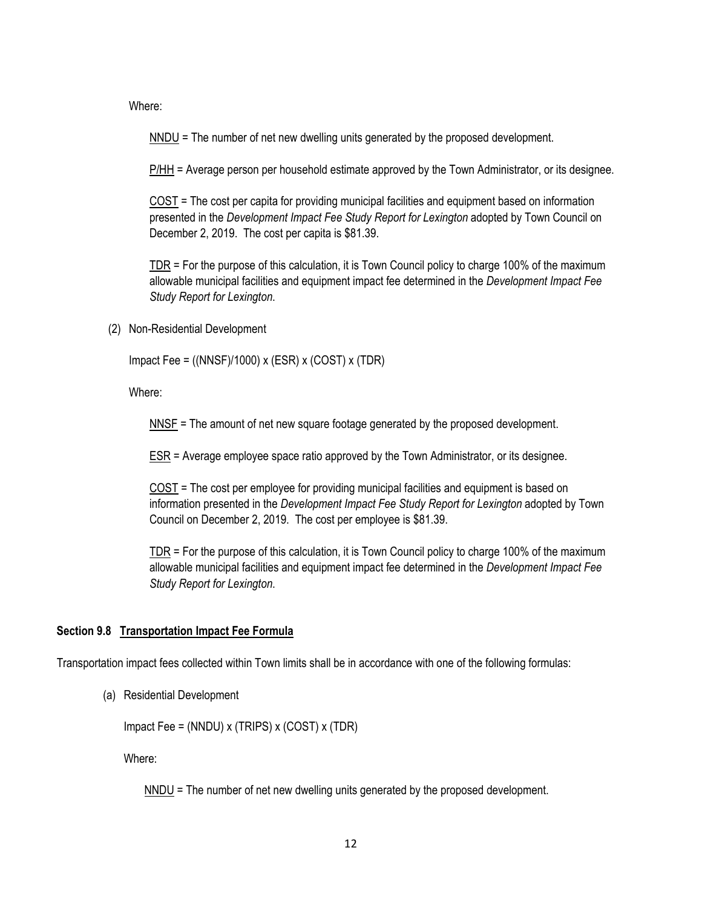Where:

 $NNDU =$  The number of net new dwelling units generated by the proposed development.

P/HH = Average person per household estimate approved by the Town Administrator, or its designee.

COST = The cost per capita for providing municipal facilities and equipment based on information presented in the *Development Impact Fee Study Report for Lexington* adopted by Town Council on December 2, 2019. The cost per capita is \$81.39.

 $TDR$  = For the purpose of this calculation, it is Town Council policy to charge 100% of the maximum</u> allowable municipal facilities and equipment impact fee determined in the *Development Impact Fee Study Report for Lexington*.

(2) Non-Residential Development

Impact Fee = ((NNSF)/1000) x (ESR) x (COST) x (TDR)

Where:

NNSF = The amount of net new square footage generated by the proposed development.

ESR = Average employee space ratio approved by the Town Administrator, or its designee.

COST = The cost per employee for providing municipal facilities and equipment is based on information presented in the *Development Impact Fee Study Report for Lexington* adopted by Town Council on December 2, 2019. The cost per employee is \$81.39.

TDR = For the purpose of this calculation, it is Town Council policy to charge 100% of the maximum allowable municipal facilities and equipment impact fee determined in the *Development Impact Fee Study Report for Lexington*.

### **Section 9.8 Transportation Impact Fee Formula**

Transportation impact fees collected within Town limits shall be in accordance with one of the following formulas:

(a) Residential Development

Impact Fee = (NNDU) x (TRIPS) x (COST) x (TDR)

Where:

NNDU = The number of net new dwelling units generated by the proposed development.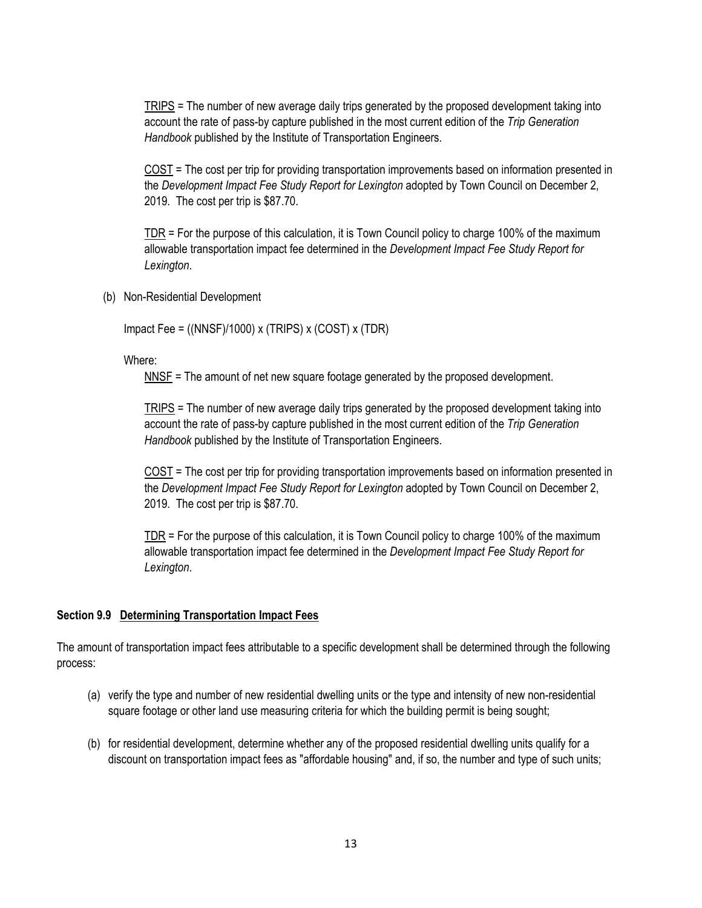TRIPS = The number of new average daily trips generated by the proposed development taking into account the rate of pass-by capture published in the most current edition of the *Trip Generation Handbook* published by the Institute of Transportation Engineers.

COST = The cost per trip for providing transportation improvements based on information presented in the *Development Impact Fee Study Report for Lexington* adopted by Town Council on December 2, 2019. The cost per trip is \$87.70.

TDR = For the purpose of this calculation, it is Town Council policy to charge 100% of the maximum allowable transportation impact fee determined in the *Development Impact Fee Study Report for Lexington*.

(b) Non-Residential Development

Impact Fee =  $((NNSF)/1000)$  x  $(TRIPS)$  x  $(COST)$  x  $(TDR)$ 

Where:

NNSF = The amount of net new square footage generated by the proposed development.

TRIPS = The number of new average daily trips generated by the proposed development taking into account the rate of pass-by capture published in the most current edition of the *Trip Generation Handbook* published by the Institute of Transportation Engineers.

COST = The cost per trip for providing transportation improvements based on information presented in the *Development Impact Fee Study Report for Lexington* adopted by Town Council on December 2, 2019. The cost per trip is \$87.70.

TDR = For the purpose of this calculation, it is Town Council policy to charge 100% of the maximum allowable transportation impact fee determined in the *Development Impact Fee Study Report for Lexington*.

#### **Section 9.9 Determining Transportation Impact Fees**

The amount of transportation impact fees attributable to a specific development shall be determined through the following process:

- (a) verify the type and number of new residential dwelling units or the type and intensity of new non-residential square footage or other land use measuring criteria for which the building permit is being sought;
- (b) for residential development, determine whether any of the proposed residential dwelling units qualify for a discount on transportation impact fees as "affordable housing" and, if so, the number and type of such units;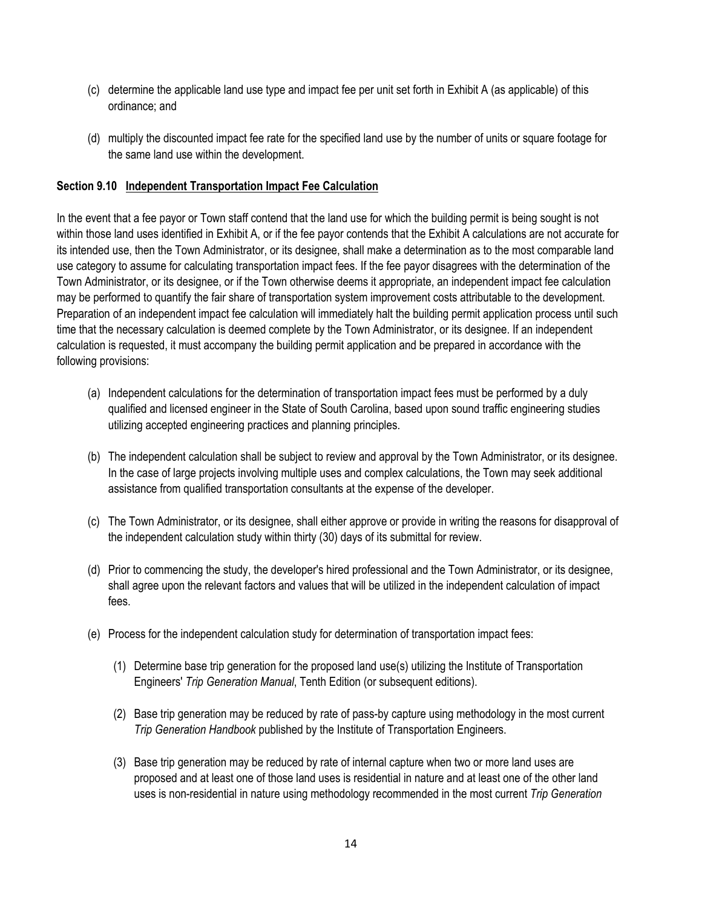- (c) determine the applicable land use type and impact fee per unit set forth in Exhibit A (as applicable) of this ordinance; and
- (d) multiply the discounted impact fee rate for the specified land use by the number of units or square footage for the same land use within the development.

### **Section 9.10 Independent Transportation Impact Fee Calculation**

In the event that a fee payor or Town staff contend that the land use for which the building permit is being sought is not within those land uses identified in Exhibit A, or if the fee payor contends that the Exhibit A calculations are not accurate for its intended use, then the Town Administrator, or its designee, shall make a determination as to the most comparable land use category to assume for calculating transportation impact fees. If the fee payor disagrees with the determination of the Town Administrator, or its designee, or if the Town otherwise deems it appropriate, an independent impact fee calculation may be performed to quantify the fair share of transportation system improvement costs attributable to the development. Preparation of an independent impact fee calculation will immediately halt the building permit application process until such time that the necessary calculation is deemed complete by the Town Administrator, or its designee. If an independent calculation is requested, it must accompany the building permit application and be prepared in accordance with the following provisions:

- (a) Independent calculations for the determination of transportation impact fees must be performed by a duly qualified and licensed engineer in the State of South Carolina, based upon sound traffic engineering studies utilizing accepted engineering practices and planning principles.
- (b) The independent calculation shall be subject to review and approval by the Town Administrator, or its designee. In the case of large projects involving multiple uses and complex calculations, the Town may seek additional assistance from qualified transportation consultants at the expense of the developer.
- (c) The Town Administrator, or its designee, shall either approve or provide in writing the reasons for disapproval of the independent calculation study within thirty (30) days of its submittal for review.
- (d) Prior to commencing the study, the developer's hired professional and the Town Administrator, or its designee, shall agree upon the relevant factors and values that will be utilized in the independent calculation of impact fees.
- (e) Process for the independent calculation study for determination of transportation impact fees:
	- (1) Determine base trip generation for the proposed land use(s) utilizing the Institute of Transportation Engineers' *Trip Generation Manual*, Tenth Edition (or subsequent editions).
	- (2) Base trip generation may be reduced by rate of pass-by capture using methodology in the most current *Trip Generation Handbook* published by the Institute of Transportation Engineers.
	- (3) Base trip generation may be reduced by rate of internal capture when two or more land uses are proposed and at least one of those land uses is residential in nature and at least one of the other land uses is non-residential in nature using methodology recommended in the most current *Trip Generation*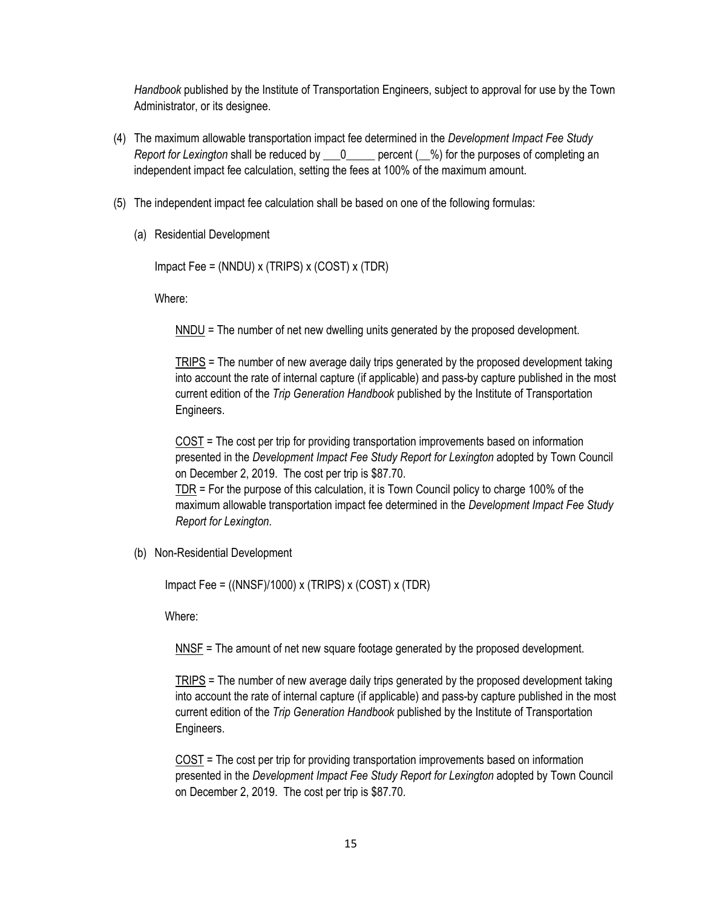*Handbook* published by the Institute of Transportation Engineers, subject to approval for use by the Town Administrator, or its designee.

- (4) The maximum allowable transportation impact fee determined in the *Development Impact Fee Study Report for Lexington* shall be reduced by  $\qquad 0 \qquad$  percent ( $\qquad$ %) for the purposes of completing an independent impact fee calculation, setting the fees at 100% of the maximum amount.
- (5) The independent impact fee calculation shall be based on one of the following formulas:
	- (a) Residential Development

```
Impact Fee = (NNDU) x (TRIPS) x (COST) x (TDR)
```
Where:

NNDU = The number of net new dwelling units generated by the proposed development.

TRIPS = The number of new average daily trips generated by the proposed development taking into account the rate of internal capture (if applicable) and pass-by capture published in the most current edition of the *Trip Generation Handbook* published by the Institute of Transportation Engineers.

COST = The cost per trip for providing transportation improvements based on information presented in the *Development Impact Fee Study Report for Lexington* adopted by Town Council on December 2, 2019. The cost per trip is \$87.70.

TDR = For the purpose of this calculation, it is Town Council policy to charge 100% of the maximum allowable transportation impact fee determined in the *Development Impact Fee Study Report for Lexington*.

(b) Non-Residential Development

Impact Fee =  $((NNSF)/1000)$  x  $(TRIPS)$  x  $(COST)$  x  $(TDR)$ 

Where:

NNSF = The amount of net new square footage generated by the proposed development.

TRIPS = The number of new average daily trips generated by the proposed development taking into account the rate of internal capture (if applicable) and pass-by capture published in the most current edition of the *Trip Generation Handbook* published by the Institute of Transportation Engineers.

COST = The cost per trip for providing transportation improvements based on information presented in the *Development Impact Fee Study Report for Lexington* adopted by Town Council on December 2, 2019. The cost per trip is \$87.70.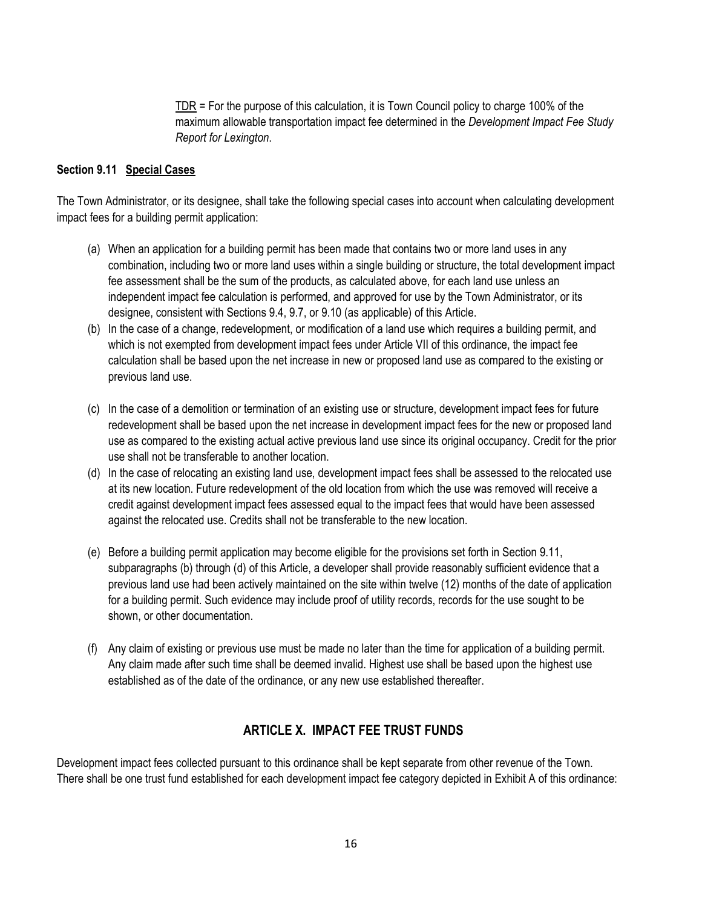TDR = For the purpose of this calculation, it is Town Council policy to charge 100% of the maximum allowable transportation impact fee determined in the *Development Impact Fee Study Report for Lexington*.

### **Section 9.11 Special Cases**

The Town Administrator, or its designee, shall take the following special cases into account when calculating development impact fees for a building permit application:

- (a) When an application for a building permit has been made that contains two or more land uses in any combination, including two or more land uses within a single building or structure, the total development impact fee assessment shall be the sum of the products, as calculated above, for each land use unless an independent impact fee calculation is performed, and approved for use by the Town Administrator, or its designee, consistent with Sections 9.4, 9.7, or 9.10 (as applicable) of this Article.
- (b) In the case of a change, redevelopment, or modification of a land use which requires a building permit, and which is not exempted from development impact fees under Article VII of this ordinance, the impact fee calculation shall be based upon the net increase in new or proposed land use as compared to the existing or previous land use.
- (c) In the case of a demolition or termination of an existing use or structure, development impact fees for future redevelopment shall be based upon the net increase in development impact fees for the new or proposed land use as compared to the existing actual active previous land use since its original occupancy. Credit for the prior use shall not be transferable to another location.
- (d) In the case of relocating an existing land use, development impact fees shall be assessed to the relocated use at its new location. Future redevelopment of the old location from which the use was removed will receive a credit against development impact fees assessed equal to the impact fees that would have been assessed against the relocated use. Credits shall not be transferable to the new location.
- (e) Before a building permit application may become eligible for the provisions set forth in Section 9.11, subparagraphs (b) through (d) of this Article, a developer shall provide reasonably sufficient evidence that a previous land use had been actively maintained on the site within twelve (12) months of the date of application for a building permit. Such evidence may include proof of utility records, records for the use sought to be shown, or other documentation.
- (f) Any claim of existing or previous use must be made no later than the time for application of a building permit. Any claim made after such time shall be deemed invalid. Highest use shall be based upon the highest use established as of the date of the ordinance, or any new use established thereafter.

## **ARTICLE X. IMPACT FEE TRUST FUNDS**

Development impact fees collected pursuant to this ordinance shall be kept separate from other revenue of the Town. There shall be one trust fund established for each development impact fee category depicted in Exhibit A of this ordinance: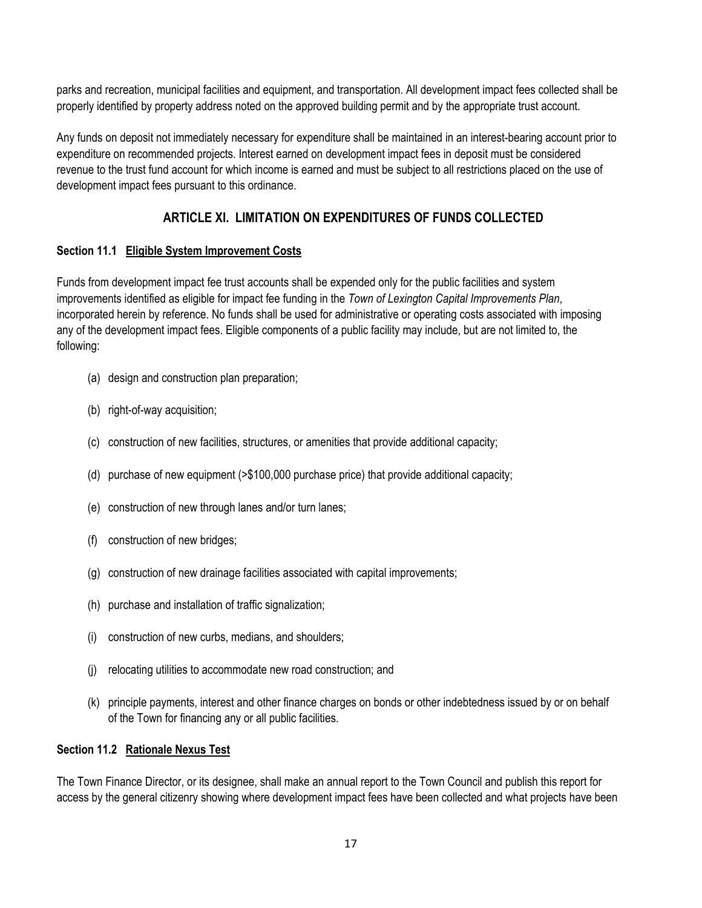parks and recreation, municipal facilities and equipment, and transportation. All development impact fees collected shall be properly identified by property address noted on the approved building permit and by the appropriate trust account.

Any funds on deposit not immediately necessary for expenditure shall be maintained in an interest-bearing account prior to expenditure on recommended projects. Interest earned on development impact fees in deposit must be considered revenue to the trust fund account for which income is earned and must be subject to all restrictions placed on the use of development impact fees pursuant to this ordinance.

# **ARTICLE XI. LIMITATION ON EXPENDITURES OF FUNDS COLLECTED**

# **Section 11.1 Eligible System Improvement Costs**

Funds from development impact fee trust accounts shall be expended only for the public facilities and system improvements identified as eligible for impact fee funding in the *Town of Lexington Capital Improvements Plan*, incorporated herein by reference. No funds shall be used for administrative or operating costs associated with imposing any of the development impact fees. Eligible components of a public facility may include, but are not limited to, the following:

- (a) design and construction plan preparation;
- (b) right-of-way acquisition;
- (c) construction of new facilities, structures, or amenities that provide additional capacity;
- (d) purchase of new equipment (>\$100,000 purchase price) that provide additional capacity;
- (e) construction of new through lanes and/or turn lanes;
- (f) construction of new bridges;
- (g) construction of new drainage facilities associated with capital improvements;
- (h) purchase and installation of traffic signalization;
- (i) construction of new curbs, medians, and shoulders;
- (j) relocating utilities to accommodate new road construction; and
- (k) principle payments, interest and other finance charges on bonds or other indebtedness issued by or on behalf of the Town for financing any or all public facilities.

## **Section 11.2 Rationale Nexus Test**

The Town Finance Director, or its designee, shall make an annual report to the Town Council and publish this report for access by the general citizenry showing where development impact fees have been collected and what projects have been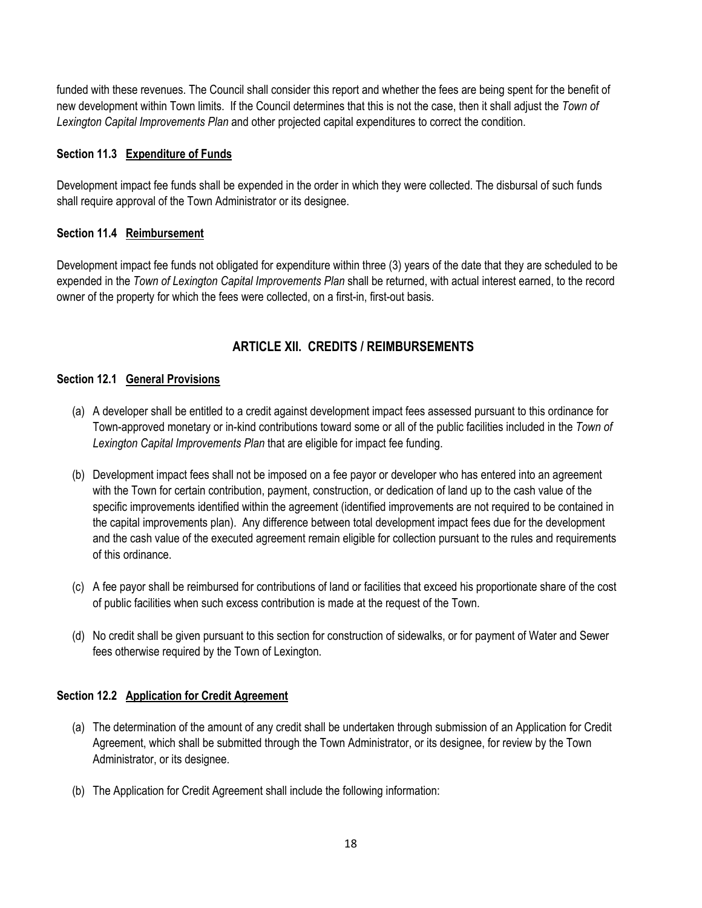funded with these revenues. The Council shall consider this report and whether the fees are being spent for the benefit of new development within Town limits. If the Council determines that this is not the case, then it shall adjust the *Town of Lexington Capital Improvements Plan* and other projected capital expenditures to correct the condition.

### **Section 11.3 Expenditure of Funds**

Development impact fee funds shall be expended in the order in which they were collected. The disbursal of such funds shall require approval of the Town Administrator or its designee.

### **Section 11.4 Reimbursement**

Development impact fee funds not obligated for expenditure within three (3) years of the date that they are scheduled to be expended in the *Town of Lexington Capital Improvements Plan* shall be returned, with actual interest earned, to the record owner of the property for which the fees were collected, on a first-in, first-out basis.

## **ARTICLE XII. CREDITS / REIMBURSEMENTS**

### **Section 12.1 General Provisions**

- (a) A developer shall be entitled to a credit against development impact fees assessed pursuant to this ordinance for Town-approved monetary or in-kind contributions toward some or all of the public facilities included in the *Town of Lexington Capital Improvements Plan* that are eligible for impact fee funding.
- (b) Development impact fees shall not be imposed on a fee payor or developer who has entered into an agreement with the Town for certain contribution, payment, construction, or dedication of land up to the cash value of the specific improvements identified within the agreement (identified improvements are not required to be contained in the capital improvements plan). Any difference between total development impact fees due for the development and the cash value of the executed agreement remain eligible for collection pursuant to the rules and requirements of this ordinance.
- (c) A fee payor shall be reimbursed for contributions of land or facilities that exceed his proportionate share of the cost of public facilities when such excess contribution is made at the request of the Town.
- (d) No credit shall be given pursuant to this section for construction of sidewalks, or for payment of Water and Sewer fees otherwise required by the Town of Lexington.

### **Section 12.2 Application for Credit Agreement**

- (a) The determination of the amount of any credit shall be undertaken through submission of an Application for Credit Agreement, which shall be submitted through the Town Administrator, or its designee, for review by the Town Administrator, or its designee.
- (b) The Application for Credit Agreement shall include the following information: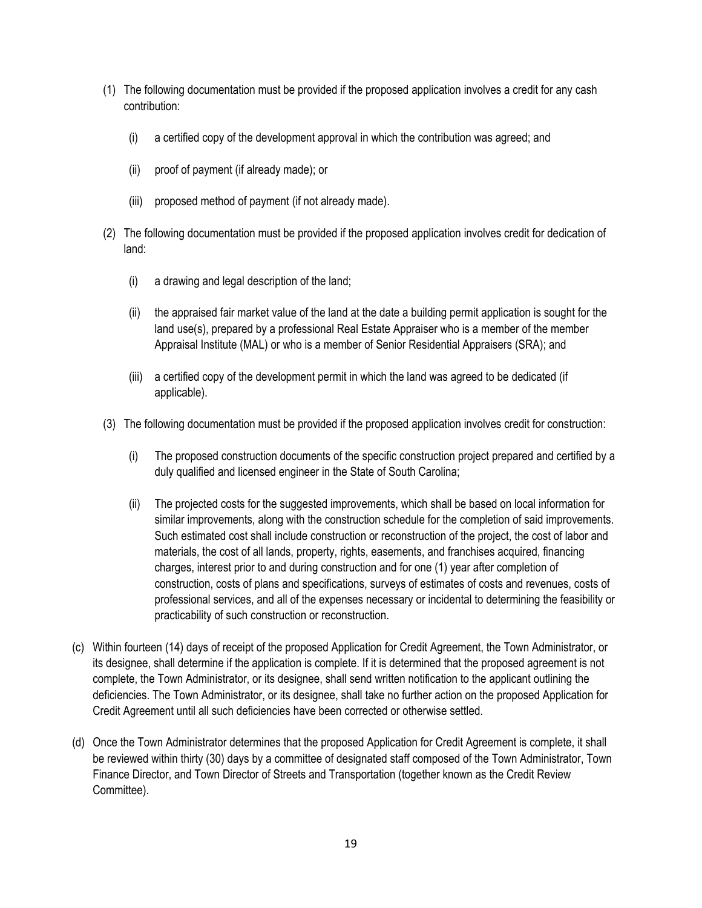- (1) The following documentation must be provided if the proposed application involves a credit for any cash contribution:
	- (i) a certified copy of the development approval in which the contribution was agreed; and
	- (ii) proof of payment (if already made); or
	- (iii) proposed method of payment (if not already made).
- (2) The following documentation must be provided if the proposed application involves credit for dedication of land:
	- (i) a drawing and legal description of the land;
	- (ii) the appraised fair market value of the land at the date a building permit application is sought for the land use(s), prepared by a professional Real Estate Appraiser who is a member of the member Appraisal Institute (MAL) or who is a member of Senior Residential Appraisers (SRA); and
	- (iii) a certified copy of the development permit in which the land was agreed to be dedicated (if applicable).
- (3) The following documentation must be provided if the proposed application involves credit for construction:
	- (i) The proposed construction documents of the specific construction project prepared and certified by a duly qualified and licensed engineer in the State of South Carolina;
	- (ii) The projected costs for the suggested improvements, which shall be based on local information for similar improvements, along with the construction schedule for the completion of said improvements. Such estimated cost shall include construction or reconstruction of the project, the cost of labor and materials, the cost of all lands, property, rights, easements, and franchises acquired, financing charges, interest prior to and during construction and for one (1) year after completion of construction, costs of plans and specifications, surveys of estimates of costs and revenues, costs of professional services, and all of the expenses necessary or incidental to determining the feasibility or practicability of such construction or reconstruction.
- (c) Within fourteen (14) days of receipt of the proposed Application for Credit Agreement, the Town Administrator, or its designee, shall determine if the application is complete. If it is determined that the proposed agreement is not complete, the Town Administrator, or its designee, shall send written notification to the applicant outlining the deficiencies. The Town Administrator, or its designee, shall take no further action on the proposed Application for Credit Agreement until all such deficiencies have been corrected or otherwise settled.
- (d) Once the Town Administrator determines that the proposed Application for Credit Agreement is complete, it shall be reviewed within thirty (30) days by a committee of designated staff composed of the Town Administrator, Town Finance Director, and Town Director of Streets and Transportation (together known as the Credit Review Committee).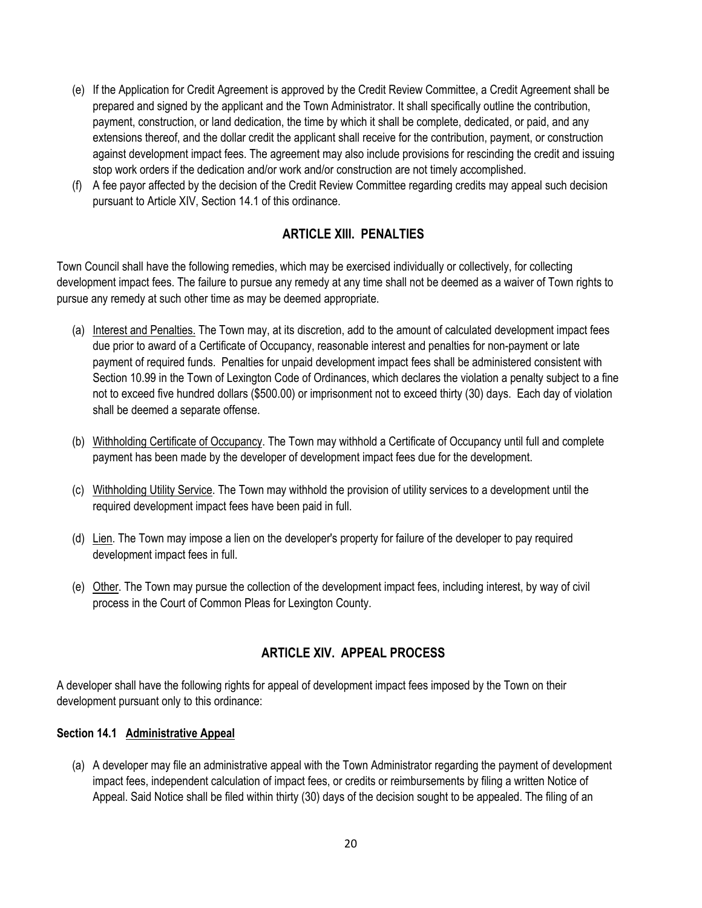- (e) If the Application for Credit Agreement is approved by the Credit Review Committee, a Credit Agreement shall be prepared and signed by the applicant and the Town Administrator. It shall specifically outline the contribution, payment, construction, or land dedication, the time by which it shall be complete, dedicated, or paid, and any extensions thereof, and the dollar credit the applicant shall receive for the contribution, payment, or construction against development impact fees. The agreement may also include provisions for rescinding the credit and issuing stop work orders if the dedication and/or work and/or construction are not timely accomplished.
- (f) A fee payor affected by the decision of the Credit Review Committee regarding credits may appeal such decision pursuant to Article XIV, Section 14.1 of this ordinance.

## **ARTICLE XIII. PENALTIES**

Town Council shall have the following remedies, which may be exercised individually or collectively, for collecting development impact fees. The failure to pursue any remedy at any time shall not be deemed as a waiver of Town rights to pursue any remedy at such other time as may be deemed appropriate.

- (a) Interest and Penalties. The Town may, at its discretion, add to the amount of calculated development impact fees due prior to award of a Certificate of Occupancy, reasonable interest and penalties for non-payment or late payment of required funds. Penalties for unpaid development impact fees shall be administered consistent with Section 10.99 in the Town of Lexington Code of Ordinances, which declares the violation a penalty subject to a fine not to exceed five hundred dollars (\$500.00) or imprisonment not to exceed thirty (30) days. Each day of violation shall be deemed a separate offense.
- (b) Withholding Certificate of Occupancy. The Town may withhold a Certificate of Occupancy until full and complete payment has been made by the developer of development impact fees due for the development.
- (c) Withholding Utility Service. The Town may withhold the provision of utility services to a development until the required development impact fees have been paid in full.
- (d) Lien. The Town may impose a lien on the developer's property for failure of the developer to pay required development impact fees in full.
- (e) Other. The Town may pursue the collection of the development impact fees, including interest, by way of civil process in the Court of Common Pleas for Lexington County.

# **ARTICLE XIV. APPEAL PROCESS**

A developer shall have the following rights for appeal of development impact fees imposed by the Town on their development pursuant only to this ordinance:

### **Section 14.1 Administrative Appeal**

(a) A developer may file an administrative appeal with the Town Administrator regarding the payment of development impact fees, independent calculation of impact fees, or credits or reimbursements by filing a written Notice of Appeal. Said Notice shall be filed within thirty (30) days of the decision sought to be appealed. The filing of an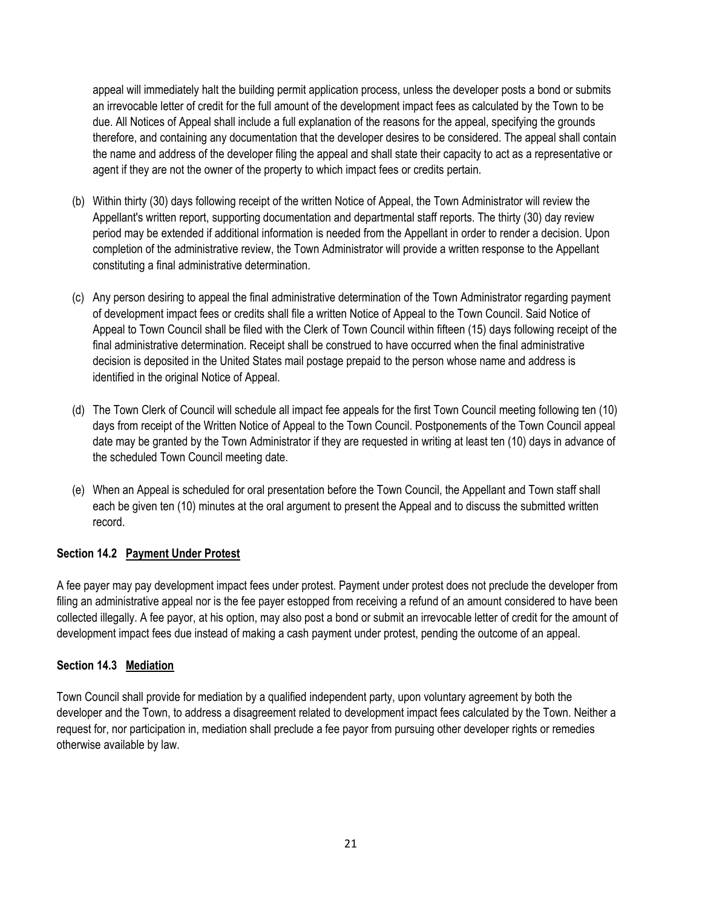appeal will immediately halt the building permit application process, unless the developer posts a bond or submits an irrevocable letter of credit for the full amount of the development impact fees as calculated by the Town to be due. All Notices of Appeal shall include a full explanation of the reasons for the appeal, specifying the grounds therefore, and containing any documentation that the developer desires to be considered. The appeal shall contain the name and address of the developer filing the appeal and shall state their capacity to act as a representative or agent if they are not the owner of the property to which impact fees or credits pertain.

- (b) Within thirty (30) days following receipt of the written Notice of Appeal, the Town Administrator will review the Appellant's written report, supporting documentation and departmental staff reports. The thirty (30) day review period may be extended if additional information is needed from the Appellant in order to render a decision. Upon completion of the administrative review, the Town Administrator will provide a written response to the Appellant constituting a final administrative determination.
- (c) Any person desiring to appeal the final administrative determination of the Town Administrator regarding payment of development impact fees or credits shall file a written Notice of Appeal to the Town Council. Said Notice of Appeal to Town Council shall be filed with the Clerk of Town Council within fifteen (15) days following receipt of the final administrative determination. Receipt shall be construed to have occurred when the final administrative decision is deposited in the United States mail postage prepaid to the person whose name and address is identified in the original Notice of Appeal.
- (d) The Town Clerk of Council will schedule all impact fee appeals for the first Town Council meeting following ten (10) days from receipt of the Written Notice of Appeal to the Town Council. Postponements of the Town Council appeal date may be granted by the Town Administrator if they are requested in writing at least ten (10) days in advance of the scheduled Town Council meeting date.
- (e) When an Appeal is scheduled for oral presentation before the Town Council, the Appellant and Town staff shall each be given ten (10) minutes at the oral argument to present the Appeal and to discuss the submitted written record.

### **Section 14.2 Payment Under Protest**

A fee payer may pay development impact fees under protest. Payment under protest does not preclude the developer from filing an administrative appeal nor is the fee payer estopped from receiving a refund of an amount considered to have been collected illegally. A fee payor, at his option, may also post a bond or submit an irrevocable letter of credit for the amount of development impact fees due instead of making a cash payment under protest, pending the outcome of an appeal.

### **Section 14.3 Mediation**

Town Council shall provide for mediation by a qualified independent party, upon voluntary agreement by both the developer and the Town, to address a disagreement related to development impact fees calculated by the Town. Neither a request for, nor participation in, mediation shall preclude a fee payor from pursuing other developer rights or remedies otherwise available by law.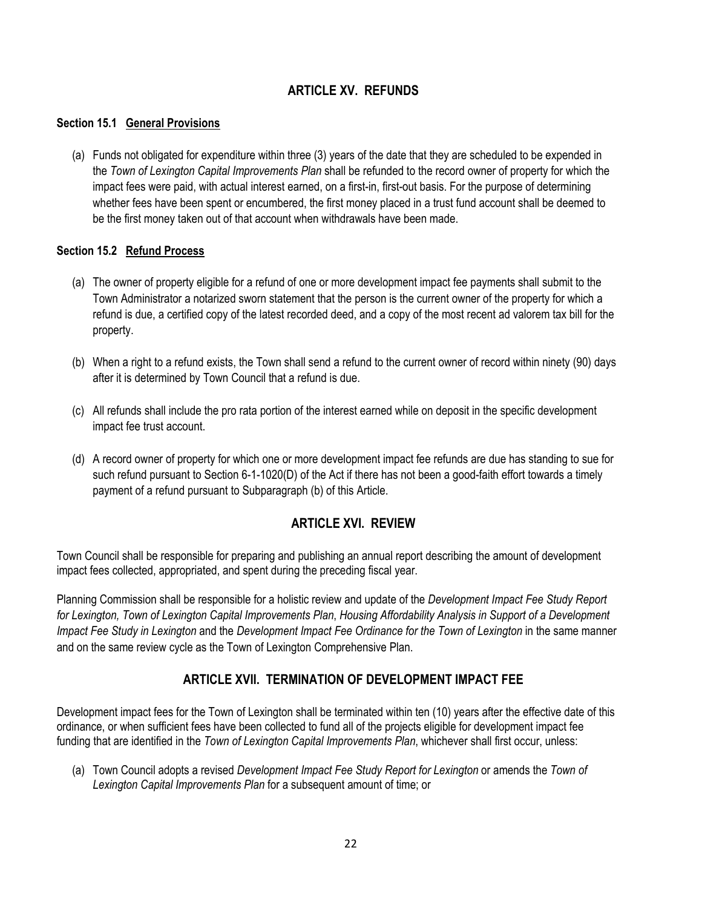# **ARTICLE XV. REFUNDS**

### **Section 15.1 General Provisions**

(a) Funds not obligated for expenditure within three (3) years of the date that they are scheduled to be expended in the *Town of Lexington Capital Improvements Plan* shall be refunded to the record owner of property for which the impact fees were paid, with actual interest earned, on a first-in, first-out basis. For the purpose of determining whether fees have been spent or encumbered, the first money placed in a trust fund account shall be deemed to be the first money taken out of that account when withdrawals have been made.

### **Section 15.2 Refund Process**

- (a) The owner of property eligible for a refund of one or more development impact fee payments shall submit to the Town Administrator a notarized sworn statement that the person is the current owner of the property for which a refund is due, a certified copy of the latest recorded deed, and a copy of the most recent ad valorem tax bill for the property.
- (b) When a right to a refund exists, the Town shall send a refund to the current owner of record within ninety (90) days after it is determined by Town Council that a refund is due.
- (c) All refunds shall include the pro rata portion of the interest earned while on deposit in the specific development impact fee trust account.
- (d) A record owner of property for which one or more development impact fee refunds are due has standing to sue for such refund pursuant to Section 6-1-1020(D) of the Act if there has not been a good-faith effort towards a timely payment of a refund pursuant to Subparagraph (b) of this Article.

## **ARTICLE XVI. REVIEW**

Town Council shall be responsible for preparing and publishing an annual report describing the amount of development impact fees collected, appropriated, and spent during the preceding fiscal year.

Planning Commission shall be responsible for a holistic review and update of the *Development Impact Fee Study Report for Lexington, Town of Lexington Capital Improvements Plan*, *Housing Affordability Analysis in Support of a Development Impact Fee Study in Lexington* and the *Development Impact Fee Ordinance for the Town of Lexington* in the same manner and on the same review cycle as the Town of Lexington Comprehensive Plan.

## **ARTICLE XVII. TERMINATION OF DEVELOPMENT IMPACT FEE**

Development impact fees for the Town of Lexington shall be terminated within ten (10) years after the effective date of this ordinance, or when sufficient fees have been collected to fund all of the projects eligible for development impact fee funding that are identified in the *Town of Lexington Capital Improvements Plan*, whichever shall first occur, unless:

(a) Town Council adopts a revised *Development Impact Fee Study Report for Lexington* or amends the *Town of Lexington Capital Improvements Plan* for a subsequent amount of time; or